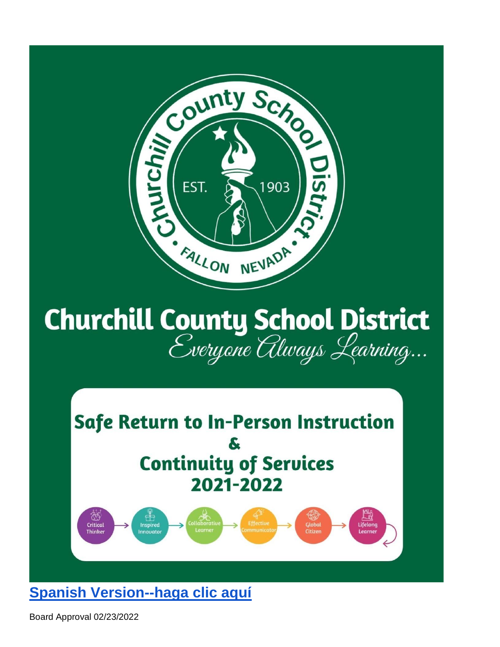

# **Churchill County School District**<br>*Everyone Always Learning...*



**[Spanish Version--haga clic aquí](https://docs.google.com/document/d/1WyFlF2lgDVeWoiALqRVERsIw91EwyetgMX1T6gaWP_4/edit?usp=sharing)**

Board Approval 02/23/2022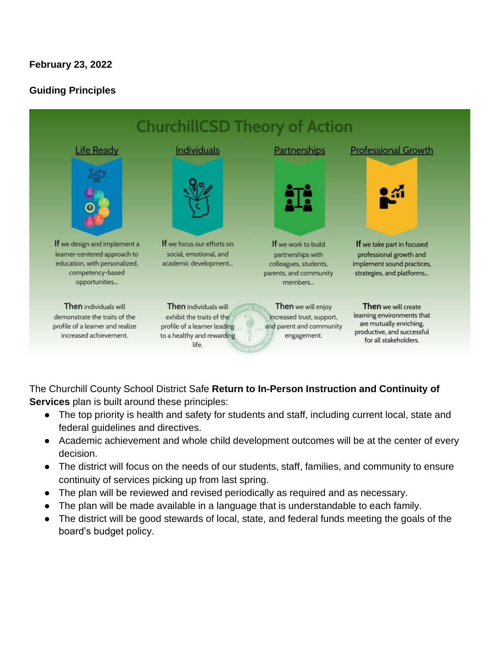# **February 23, 2022**

#### **Guiding Principles**



The Churchill County School District Safe **Return to In-Person Instruction and Continuity of Services** plan is built around these principles:

- The top priority is health and safety for students and staff, including current local, state and federal guidelines and directives.
- Academic achievement and whole child development outcomes will be at the center of every decision.
- The district will focus on the needs of our students, staff, families, and community to ensure continuity of services picking up from last spring.
- The plan will be reviewed and revised periodically as required and as necessary.
- The plan will be made available in a language that is understandable to each family.
- The district will be good stewards of local, state, and federal funds meeting the goals of the board's budget policy.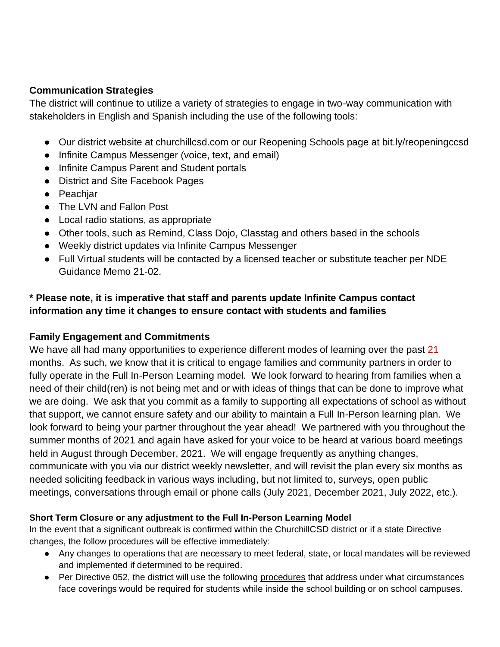#### **Communication Strategies**

The district will continue to utilize a variety of strategies to engage in two-way communication with stakeholders in English and Spanish including the use of the following tools:

- Our district website at churchillcsd.com or our Reopening Schools page at bit.ly/reopeningccsd
- Infinite Campus Messenger (voice, text, and email)
- Infinite Campus Parent and Student portals
- District and Site Facebook Pages
- Peachjar
- The LVN and Fallon Post
- Local radio stations, as appropriate
- Other tools, such as Remind, Class Dojo, Classtag and others based in the schools
- Weekly district updates via Infinite Campus Messenger
- Full Virtual students will be contacted by a licensed teacher or substitute teacher per NDE Guidance Memo 21-02.

# **\* Please note, it is imperative that staff and parents update Infinite Campus contact information any time it changes to ensure contact with students and families**

#### **Family Engagement and Commitments**

We have all had many opportunities to experience different modes of learning over the past 21 months. As such, we know that it is critical to engage families and community partners in order to fully operate in the Full In-Person Learning model. We look forward to hearing from families when a need of their child(ren) is not being met and or with ideas of things that can be done to improve what we are doing. We ask that you commit as a family to supporting all expectations of school as without that support, we cannot ensure safety and our ability to maintain a Full In-Person learning plan. We look forward to being your partner throughout the year ahead! We partnered with you throughout the summer months of 2021 and again have asked for your voice to be heard at various board meetings held in August through December, 2021. We will engage frequently as anything changes, communicate with you via our district weekly newsletter, and will revisit the plan every six months as needed soliciting feedback in various ways including, but not limited to, surveys, open public meetings, conversations through email or phone calls (July 2021, December 2021, July 2022, etc.).

#### **Short Term Closure or any adjustment to the Full In-Person Learning Model**

In the event that a significant outbreak is confirmed within the ChurchillCSD district or if a state Directive changes, the follow procedures will be effective immediately:

- Any changes to operations that are necessary to meet federal, state, or local mandates will be reviewed and implemented if determined to be required.
- Per Directive 052, the district will use the following [procedures](https://docs.google.com/document/d/1FFCCJ-J2PAa5TT_xhD4_6nnehtCnpp0kTCXYN9TZSkg/edit?usp=sharing) that address under what circumstances face coverings would be required for students while inside the school building or on school campuses.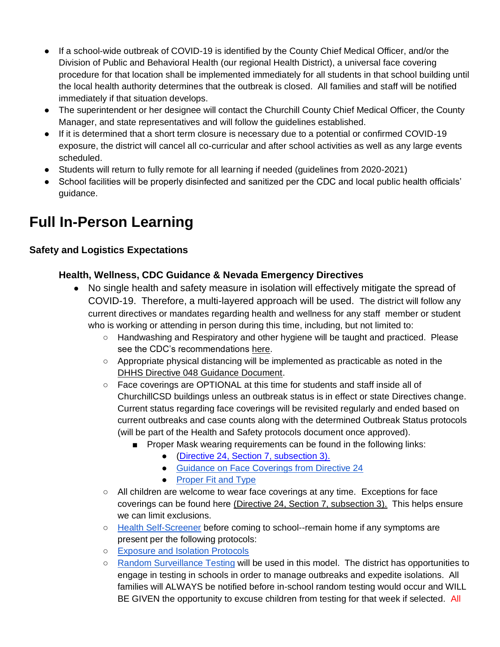- If a school-wide outbreak of COVID-19 is identified by the County Chief Medical Officer, and/or the Division of Public and Behavioral Health (our regional Health District), a universal face covering procedure for that location shall be implemented immediately for all students in that school building until the local health authority determines that the outbreak is closed. All families and staff will be notified immediately if that situation develops.
- The superintendent or her designee will contact the Churchill County Chief Medical Officer, the County Manager, and state representatives and will follow the guidelines established.
- If it is determined that a short term closure is necessary due to a potential or confirmed COVID-19 exposure, the district will cancel all co-curricular and after school activities as well as any large events scheduled.
- Students will return to fully remote for all learning if needed (guidelines from 2020-2021)
- School facilities will be properly disinfected and sanitized per the CDC and local public health officials' guidance.

# **Full In-Person Learning**

#### **Safety and Logistics Expectations**

# **Health, Wellness, CDC Guidance & Nevada Emergency Directives**

- No single health and safety measure in isolation will effectively mitigate the spread of COVID-19. Therefore, a multi-layered approach will be used. The district will follow any current directives or mandates regarding health and wellness for any staff member or student who is working or attending in person during this time, including, but not limited to:
	- Handwashing and Respiratory and other hygiene will be taught and practiced. Please see the CDC's recommendations [here.](https://www.cdc.gov/coronavirus/2019-ncov/community/schools-childcare/k-12-guidance.html)
	- $\circ$  Appropriate physical distancing will be implemented as practicable as noted in the [DHHS Directive 048 Guidance Document.](https://nvhealthresponse.nv.gov/wp-content/uploads/2021/08/2021-22-School-COVID-Guidance_Final_8.4.pdf)
	- Face coverings are OPTIONAL at this time for students and staff inside all of ChurchillCSD buildings unless an outbreak status is in effect or state Directives change. Current status regarding face coverings will be revisited regularly and ended based on current outbreaks and case counts along with the determined Outbreak Status protocols (will be part of the Health and Safety protocols document once approved).
		- Proper Mask wearing requirements can be found in the following links:
			- [\(Directive 24, Section 7, subsection 3\).](https://nvhealthresponse.nv.gov/wp-content/uploads/2020/06/Directive-024-Face-Coverings.pdf)
			- [Guidance on Face Coverings from Directive 24](https://nvhealthresponse.nv.gov/wp-content/uploads/2020/06/Guidance-on-Directive-24-Face-Coverings-UPDATED.pdf)
			- [Proper Fit and Type](https://www.cdc.gov/coronavirus/2019-ncov/prevent-getting-sick/about-face-coverings.html)
	- All children are welcome to wear face coverings at any time. Exceptions for face coverings can be found here [\(Directive 24, Section 7, subsection 3\).](https://nvhealthresponse.nv.gov/wp-content/uploads/2020/06/Directive-024-Face-Coverings.pdf) This helps ensure we can limit exclusions.
	- [Health Self-Screener](https://drive.google.com/file/d/1FViNkSxHv2xl0G2FyEPF0I6FjOcRHjTA/view?usp=sharing) before coming to school--remain home if any symptoms are present per the following protocols:
	- [Exposure and Isolation Protocols](https://docs.google.com/document/d/10o1gWynx94qlAZckUa_ZEx41wKLIC8UatlWlOqW_Bbs/edit)
	- [Random Surveillance Testing](https://www.churchillcsd.com/en-US/random-covid-19-surveillance-testing-b64a572a) will be used in this model. The district has opportunities to engage in testing in schools in order to manage outbreaks and expedite isolations. All families will ALWAYS be notified before in-school random testing would occur and WILL BE GIVEN the opportunity to excuse children from testing for that week if selected. All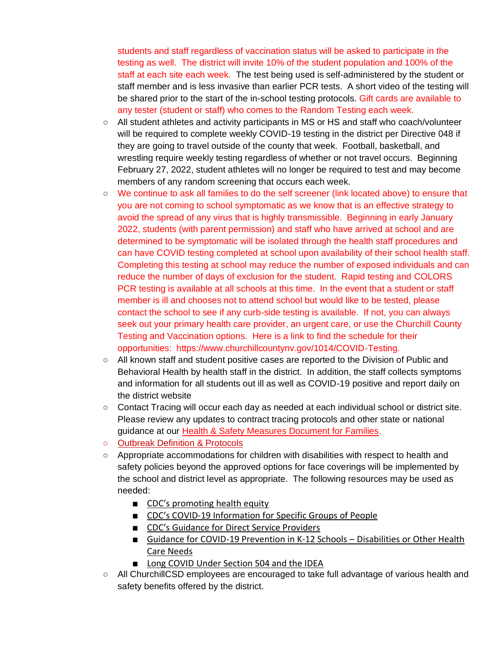students and staff regardless of vaccination status will be asked to participate in the testing as well. The district will invite 10% of the student population and 100% of the staff at each site each week. The test being used is self-administered by the student or staff member and is less invasive than earlier PCR tests. A short video of the testing will be shared prior to the start of the in-school testing protocols. Gift cards are available to any tester (student or staff) who comes to the Random Testing each week.

- All student athletes and activity participants in MS or HS and staff who coach/volunteer will be required to complete weekly COVID-19 testing in the district per Directive 048 if they are going to travel outside of the county that week. Football, basketball, and wrestling require weekly testing regardless of whether or not travel occurs. Beginning February 27, 2022, student athletes will no longer be required to test and may become members of any random screening that occurs each week.
- We continue to ask all families to do the self screener (link located above) to ensure that you are not coming to school symptomatic as we know that is an effective strategy to avoid the spread of any virus that is highly transmissible. Beginning in early January 2022, students (with parent permission) and staff who have arrived at school and are determined to be symptomatic will be isolated through the health staff procedures and can have COVID testing completed at school upon availability of their school health staff. Completing this testing at school may reduce the number of exposed individuals and can reduce the number of days of exclusion for the student. Rapid testing and COLORS PCR testing is available at all schools at this time. In the event that a student or staff member is ill and chooses not to attend school but would like to be tested, please contact the school to see if any curb-side testing is available. If not, you can always seek out your primary health care provider, an urgent care, or use the Churchill County Testing and Vaccination options. Here is a link to find the schedule for their opportunities: https://www.churchillcountynv.gov/1014/COVID-Testing.
- All known staff and student positive cases are reported to the Division of Public and Behavioral Health by health staff in the district. In addition, the staff collects symptoms and information for all students out ill as well as COVID-19 positive and report daily on the district website
- Contact Tracing will occur each day as needed at each individual school or district site. Please review any updates to contract tracing protocols and other state or national guidance at our [Health & Safety Measures Document for Families.](https://docs.google.com/document/d/10o1gWynx94qlAZckUa_ZEx41wKLIC8UatlWlOqW_Bbs/edit?usp=sharing)
- [Outbreak Definition & Protocols](https://docs.google.com/document/d/1TYS9Z1xiEt-_o7lHF2aU4Qg7Wx-msClAFlFlkIfng6k/edit?usp=sharingg7Wx-msClAFlFlkIfng6k/edit?usp=sharing)
- Appropriate accommodations for children with disabilities with respect to health and safety policies beyond the approved options for face coverings will be implemented by the school and district level as appropriate. The following resources may be used as needed:
	- [CDC's](https://www.cdc.gov/coronavirus/2019-ncov/community/health-equity/what-we-can-do.html) [promoting health equity](https://www.cdc.gov/coronavirus/2019-ncov/community/health-equity/what-we-can-do.html)
	- CDC's COVID[-19 Information for Specific Groups of People](https://www.cdc.gov/coronavirus/2019-ncov/need-extra-precautions/index.html)
	- CDC's [Guidance for Direct Service Providers](https://www.cdc.gov/ncbddd/humandevelopment/covid-19/guidance-for-direct-service-providers.html)
	- [Guidance for COVID-19 Prevention in K-12 Schools](https://www.cdc.gov/coronavirus/2019-ncov/community/schools-childcare/k-12-guidance.html)  Disabilities or Other Health [Care Needs](https://www.cdc.gov/coronavirus/2019-ncov/community/schools-childcare/k-12-guidance.html)
	- [Long COVID Under Section 504 and the IDEA](https://www2.ed.gov/about/offices/list/ocr/docs/ocr-factsheet-504-20210726.pdf)
- All ChurchillCSD employees are encouraged to take full advantage of various health and safety benefits offered by the district.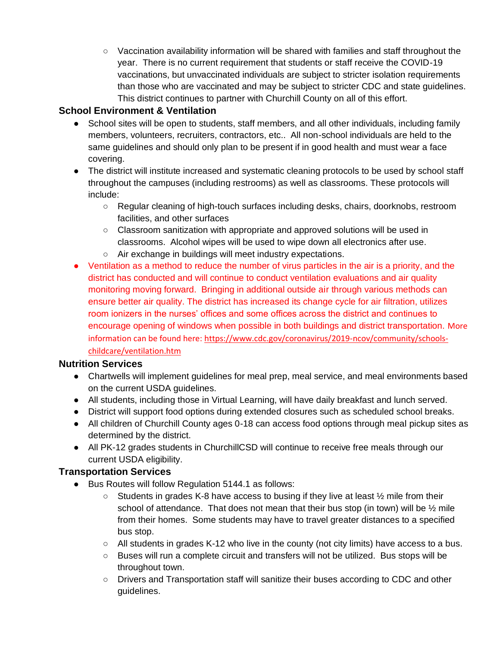○ Vaccination availability information will be shared with families and staff throughout the year. There is no current requirement that students or staff receive the COVID-19 vaccinations, but unvaccinated individuals are subject to stricter isolation requirements than those who are vaccinated and may be subject to stricter CDC and state guidelines. This district continues to partner with Churchill County on all of this effort.

# **School Environment & Ventilation**

- School sites will be open to students, staff members, and all other individuals, including family members, volunteers, recruiters, contractors, etc.. All non-school individuals are held to the same guidelines and should only plan to be present if in good health and must wear a face covering.
- The district will institute increased and systematic cleaning protocols to be used by school staff throughout the campuses (including restrooms) as well as classrooms. These protocols will include:
	- Regular cleaning of high-touch surfaces including desks, chairs, doorknobs, restroom facilities, and other surfaces
	- $\circ$  Classroom sanitization with appropriate and approved solutions will be used in classrooms. Alcohol wipes will be used to wipe down all electronics after use.
	- Air exchange in buildings will meet industry expectations.
- Ventilation as a method to reduce the number of virus particles in the air is a priority, and the district has conducted and will continue to conduct ventilation evaluations and air quality monitoring moving forward. Bringing in additional outside air through various methods can ensure better air quality. The district has increased its change cycle for air filtration, utilizes room ionizers in the nurses' offices and some offices across the district and continues to encourage opening of windows when possible in both buildings and district transportation. More information can be found here: https://www.cdc.gov/coronavirus/2019-ncov/community/schoolschildcare/ventilation.htm

#### **Nutrition Services**

- Chartwells will implement guidelines for meal prep, meal service, and meal environments based on the current USDA guidelines.
- All students, including those in Virtual Learning, will have daily breakfast and lunch served.
- District will support food options during extended closures such as scheduled school breaks.
- All children of Churchill County ages 0-18 can access food options through meal pickup sites as determined by the district.
- All PK-12 grades students in ChurchillCSD will continue to receive free meals through our current USDA eligibility.

#### **Transportation Services**

- Bus Routes will follow Regulation 5144.1 as follows:
	- $\circ$  Students in grades K-8 have access to busing if they live at least  $\frac{1}{2}$  mile from their school of attendance. That does not mean that their bus stop (in town) will be  $\frac{1}{2}$  mile from their homes. Some students may have to travel greater distances to a specified bus stop.
	- All students in grades K-12 who live in the county (not city limits) have access to a bus.
	- Buses will run a complete circuit and transfers will not be utilized. Bus stops will be throughout town.
	- Drivers and Transportation staff will sanitize their buses according to CDC and other guidelines.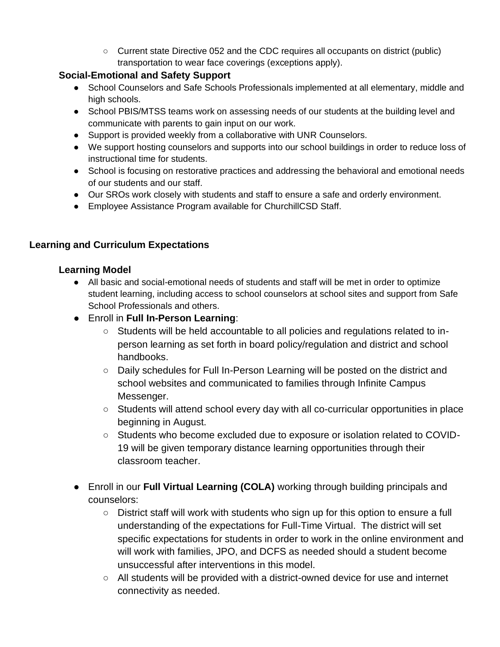○ Current state Directive 052 and the CDC requires all occupants on district (public) transportation to wear face coverings (exceptions apply).

#### **Social-Emotional and Safety Support**

- School Counselors and Safe Schools Professionals implemented at all elementary, middle and high schools.
- School PBIS/MTSS teams work on assessing needs of our students at the building level and communicate with parents to gain input on our work.
- Support is provided weekly from a collaborative with UNR Counselors.
- We support hosting counselors and supports into our school buildings in order to reduce loss of instructional time for students.
- School is focusing on restorative practices and addressing the behavioral and emotional needs of our students and our staff.
- Our SROs work closely with students and staff to ensure a safe and orderly environment.
- Employee Assistance Program available for ChurchillCSD Staff.

# **Learning and Curriculum Expectations**

#### **Learning Model**

- All basic and social-emotional needs of students and staff will be met in order to optimize student learning, including access to school counselors at school sites and support from Safe School Professionals and others.
- Enroll in **Full In-Person Learning**:
	- Students will be held accountable to all policies and regulations related to inperson learning as set forth in board policy/regulation and district and school handbooks.
	- Daily schedules for Full In-Person Learning will be posted on the district and school websites and communicated to families through Infinite Campus Messenger.
	- Students will attend school every day with all co-curricular opportunities in place beginning in August.
	- Students who become excluded due to exposure or isolation related to COVID-19 will be given temporary distance learning opportunities through their classroom teacher.
- Enroll in our **Full Virtual Learning (COLA)** working through building principals and counselors:
	- District staff will work with students who sign up for this option to ensure a full understanding of the expectations for Full-Time Virtual. The district will set specific expectations for students in order to work in the online environment and will work with families, JPO, and DCFS as needed should a student become unsuccessful after interventions in this model.
	- All students will be provided with a district-owned device for use and internet connectivity as needed.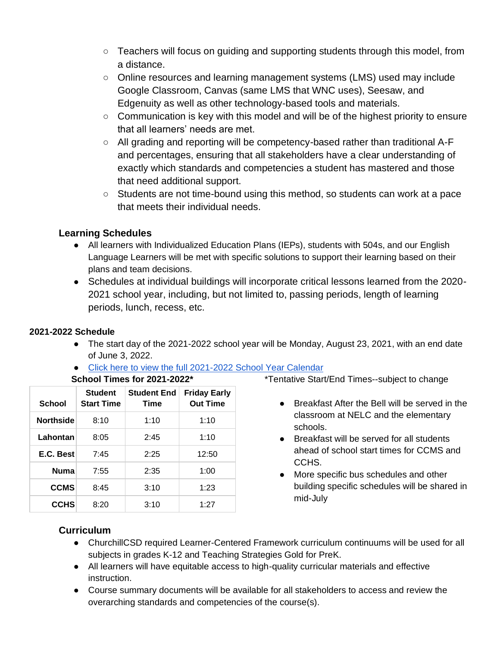- $\circ$  Teachers will focus on quiding and supporting students through this model, from a distance.
- Online resources and learning management systems (LMS) used may include Google Classroom, Canvas (same LMS that WNC uses), Seesaw, and Edgenuity as well as other technology-based tools and materials.
- $\circ$  Communication is key with this model and will be of the highest priority to ensure that all learners' needs are met.
- All grading and reporting will be competency-based rather than traditional A-F and percentages, ensuring that all stakeholders have a clear understanding of exactly which standards and competencies a student has mastered and those that need additional support.
- Students are not time-bound using this method, so students can work at a pace that meets their individual needs.

#### **Learning Schedules**

- All learners with Individualized Education Plans (IEPs), students with 504s, and our English Language Learners will be met with specific solutions to support their learning based on their plans and team decisions.
- Schedules at individual buildings will incorporate critical lessons learned from the 2020- 2021 school year, including, but not limited to, passing periods, length of learning periods, lunch, recess, etc.

#### **2021-2022 Schedule**

- The start day of the 2021-2022 school year will be Monday, August 23, 2021, with an end date of June 3, 2022.
- [Click here to view the full 2021-2022 School Year Calendar](https://www.churchillcsd.com/en-US/school-calendar-and-school-start-end-times-d18a465e)

| <b>School</b>    | <b>Student</b><br><b>Start Time</b> | <b>Student End</b><br><b>Time</b> | <b>Friday Early</b><br><b>Out Time</b> |
|------------------|-------------------------------------|-----------------------------------|----------------------------------------|
| <b>Northside</b> | 8:10                                | 1:10                              | 1:10                                   |
| Lahontan         | 8:05                                | 2:45                              | 1:10                                   |
| E.C. Best        | 7:45                                | 2:25                              | 12:50                                  |
| <b>Numa</b>      | 7:55                                | 2:35                              | 1:00                                   |
| <b>CCMS</b>      | 8:45                                | 3:10                              | 1:23                                   |
| <b>CCHS</b>      | 8:20                                | 3:10                              | 1:27                                   |

**School Times for 2021-2022\***

\*Tentative Start/End Times--subject to change

- Breakfast After the Bell will be served in the classroom at NELC and the elementary schools.
- Breakfast will be served for all students ahead of school start times for CCMS and CCHS.
- More specific bus schedules and other building specific schedules will be shared in mid-July

# **Curriculum**

- ChurchillCSD required Learner-Centered Framework curriculum continuums will be used for all subjects in grades K-12 and Teaching Strategies Gold for PreK.
- All learners will have equitable access to high-quality curricular materials and effective instruction.
- Course summary documents will be available for all stakeholders to access and review the overarching standards and competencies of the course(s).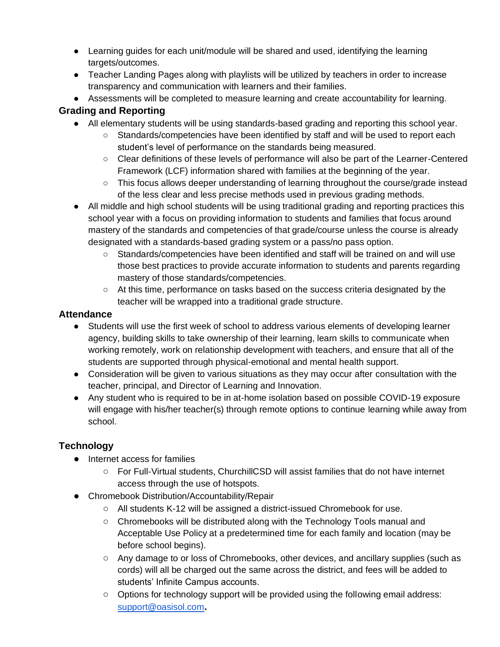- Learning guides for each unit/module will be shared and used, identifying the learning targets/outcomes.
- Teacher Landing Pages along with playlists will be utilized by teachers in order to increase transparency and communication with learners and their families.
- Assessments will be completed to measure learning and create accountability for learning.

# **Grading and Reporting**

- All elementary students will be using standards-based grading and reporting this school year.
	- Standards/competencies have been identified by staff and will be used to report each student's level of performance on the standards being measured.
	- Clear definitions of these levels of performance will also be part of the Learner-Centered Framework (LCF) information shared with families at the beginning of the year.
	- This focus allows deeper understanding of learning throughout the course/grade instead of the less clear and less precise methods used in previous grading methods.
- All middle and high school students will be using traditional grading and reporting practices this school year with a focus on providing information to students and families that focus around mastery of the standards and competencies of that grade/course unless the course is already designated with a standards-based grading system or a pass/no pass option.
	- Standards/competencies have been identified and staff will be trained on and will use those best practices to provide accurate information to students and parents regarding mastery of those standards/competencies.
	- At this time, performance on tasks based on the success criteria designated by the teacher will be wrapped into a traditional grade structure.

#### **Attendance**

- Students will use the first week of school to address various elements of developing learner agency, building skills to take ownership of their learning, learn skills to communicate when working remotely, work on relationship development with teachers, and ensure that all of the students are supported through physical-emotional and mental health support.
- Consideration will be given to various situations as they may occur after consultation with the teacher, principal, and Director of Learning and Innovation.
- Any student who is required to be in at-home isolation based on possible COVID-19 exposure will engage with his/her teacher(s) through remote options to continue learning while away from school.

# **Technology**

- Internet access for families
	- For Full-Virtual students, ChurchillCSD will assist families that do not have internet access through the use of hotspots.
- Chromebook Distribution/Accountability/Repair
	- All students K-12 will be assigned a district-issued Chromebook for use.
	- Chromebooks will be distributed along with the Technology Tools manual and Acceptable Use Policy at a predetermined time for each family and location (may be before school begins).
	- Any damage to or loss of Chromebooks, other devices, and ancillary supplies (such as cords) will all be charged out the same across the district, and fees will be added to students' Infinite Campus accounts.
	- $\circ$  Options for technology support will be provided using the following email address: [support@oasisol.com](mailto:support@oasisol.com)**.**